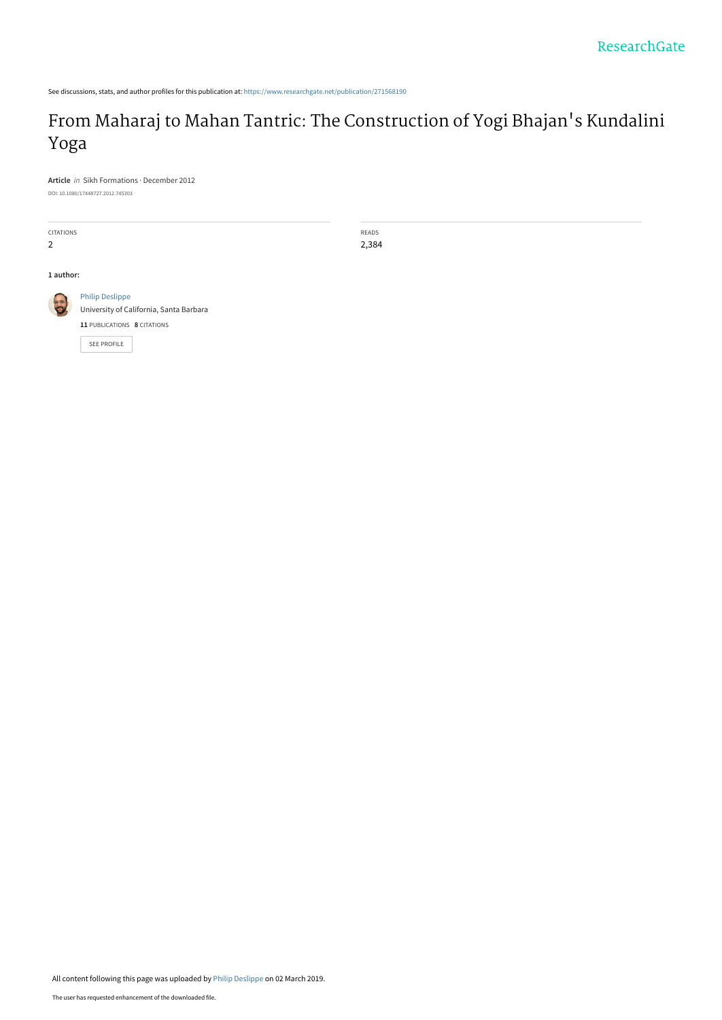See discussions, stats, and author profiles for this publication at: [https://www.researchgate.net/publication/271568190](https://www.researchgate.net/publication/271568190_From_Maharaj_to_Mahan_Tantric_The_Construction_of_Yogi_Bhajan%27s_Kundalini_Yoga?enrichId=rgreq-a9677267847c0b7131cfc9b16a2f5ca9-XXX&enrichSource=Y292ZXJQYWdlOzI3MTU2ODE5MDtBUzo3MzIwNzYzNDkzMjUzMTRAMTU1MTU1MjAxMTI2Ng%3D%3D&el=1_x_2&_esc=publicationCoverPdf)

# [From Maharaj to Mahan Tantric: The Construction of Yogi Bhajan](https://www.researchgate.net/publication/271568190_From_Maharaj_to_Mahan_Tantric_The_Construction_of_Yogi_Bhajan%27s_Kundalini_Yoga?enrichId=rgreq-a9677267847c0b7131cfc9b16a2f5ca9-XXX&enrichSource=Y292ZXJQYWdlOzI3MTU2ODE5MDtBUzo3MzIwNzYzNDkzMjUzMTRAMTU1MTU1MjAxMTI2Ng%3D%3D&el=1_x_3&_esc=publicationCoverPdf)'s Kundalini Yoga

**Article** in Sikh Formations · December 2012 DOI: 10.1080/17448727.2012.745303

CITATIONS 2

READS 2,384

**1 author:**



[Philip Deslippe](https://www.researchgate.net/profile/Philip_Deslippe?enrichId=rgreq-a9677267847c0b7131cfc9b16a2f5ca9-XXX&enrichSource=Y292ZXJQYWdlOzI3MTU2ODE5MDtBUzo3MzIwNzYzNDkzMjUzMTRAMTU1MTU1MjAxMTI2Ng%3D%3D&el=1_x_5&_esc=publicationCoverPdf) [University of California, Santa Barbara](https://www.researchgate.net/institution/University_of_California_Santa_Barbara?enrichId=rgreq-a9677267847c0b7131cfc9b16a2f5ca9-XXX&enrichSource=Y292ZXJQYWdlOzI3MTU2ODE5MDtBUzo3MzIwNzYzNDkzMjUzMTRAMTU1MTU1MjAxMTI2Ng%3D%3D&el=1_x_6&_esc=publicationCoverPdf) **11** PUBLICATIONS **8** CITATIONS

[SEE PROFILE](https://www.researchgate.net/profile/Philip_Deslippe?enrichId=rgreq-a9677267847c0b7131cfc9b16a2f5ca9-XXX&enrichSource=Y292ZXJQYWdlOzI3MTU2ODE5MDtBUzo3MzIwNzYzNDkzMjUzMTRAMTU1MTU1MjAxMTI2Ng%3D%3D&el=1_x_7&_esc=publicationCoverPdf)

All content following this page was uploaded by [Philip Deslippe](https://www.researchgate.net/profile/Philip_Deslippe?enrichId=rgreq-a9677267847c0b7131cfc9b16a2f5ca9-XXX&enrichSource=Y292ZXJQYWdlOzI3MTU2ODE5MDtBUzo3MzIwNzYzNDkzMjUzMTRAMTU1MTU1MjAxMTI2Ng%3D%3D&el=1_x_10&_esc=publicationCoverPdf) on 02 March 2019.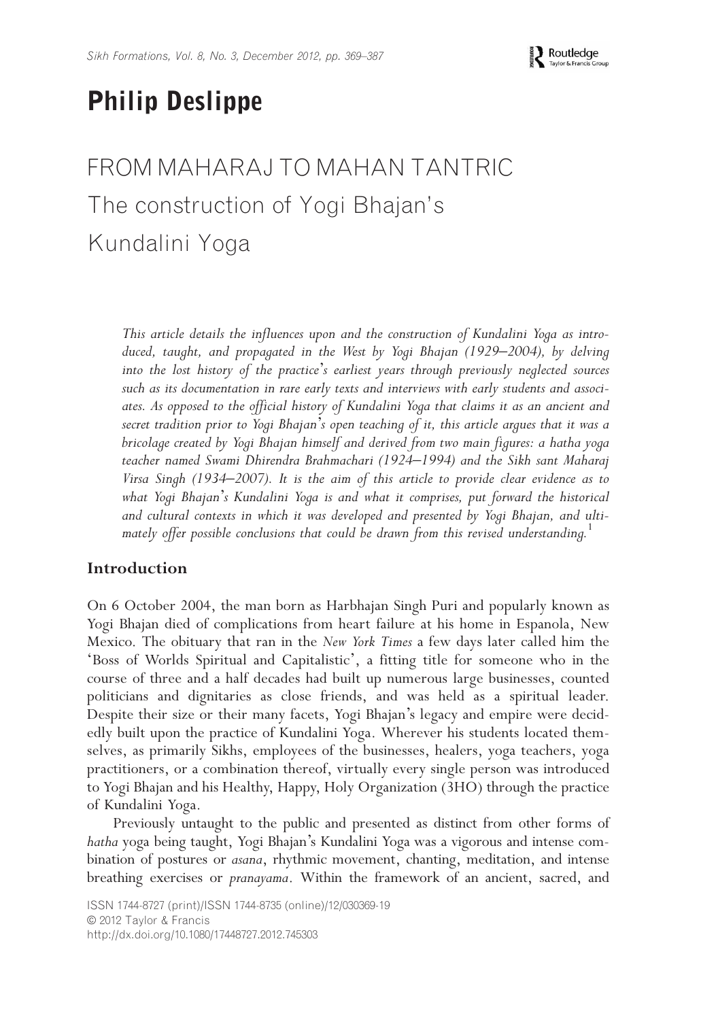# Philip Deslippe

# FROM MAHARAJ TO MAHAN TANTRIC The construction of Yogi Bhajan's Kundalini Yoga

This article details the influences upon and the construction of Kundalini Yoga as introduced, taught, and propagated in the West by Yogi Bhajan (1929–2004), by delving into the lost history of the practice's earliest years through previously neglected sources such as its documentation in rare early texts and interviews with early students and associates. As opposed to the official history of Kundalini Yoga that claims it as an ancient and secret tradition prior to Yogi Bhajan's open teaching of it, this article argues that it was a bricolage created by Yogi Bhajan himself and derived from two main figures: a hatha yoga teacher named Swami Dhirendra Brahmachari (1924–1994) and the Sikh sant Maharaj Virsa Singh (1934–2007). It is the aim of this article to provide clear evidence as to what Yogi Bhajan's Kundalini Yoga is and what it comprises, put forward the historical and cultural contexts in which it was developed and presented by Yogi Bhajan, and ultimately offer possible conclusions that could be drawn from this revised understanding.<sup>1</sup>

#### Introduction

On 6 October 2004, the man born as Harbhajan Singh Puri and popularly known as Yogi Bhajan died of complications from heart failure at his home in Espanola, New Mexico. The obituary that ran in the New York Times a few days later called him the 'Boss of Worlds Spiritual and Capitalistic', a fitting title for someone who in the course of three and a half decades had built up numerous large businesses, counted politicians and dignitaries as close friends, and was held as a spiritual leader. Despite their size or their many facets, Yogi Bhajan's legacy and empire were decidedly built upon the practice of Kundalini Yoga. Wherever his students located themselves, as primarily Sikhs, employees of the businesses, healers, yoga teachers, yoga practitioners, or a combination thereof, virtually every single person was introduced to Yogi Bhajan and his Healthy, Happy, Holy Organization (3HO) through the practice of Kundalini Yoga.

Previously untaught to the public and presented as distinct from other forms of hatha yoga being taught, Yogi Bhajan's Kundalini Yoga was a vigorous and intense combination of postures or asana, rhythmic movement, chanting, meditation, and intense breathing exercises or pranayama. Within the framework of an ancient, sacred, and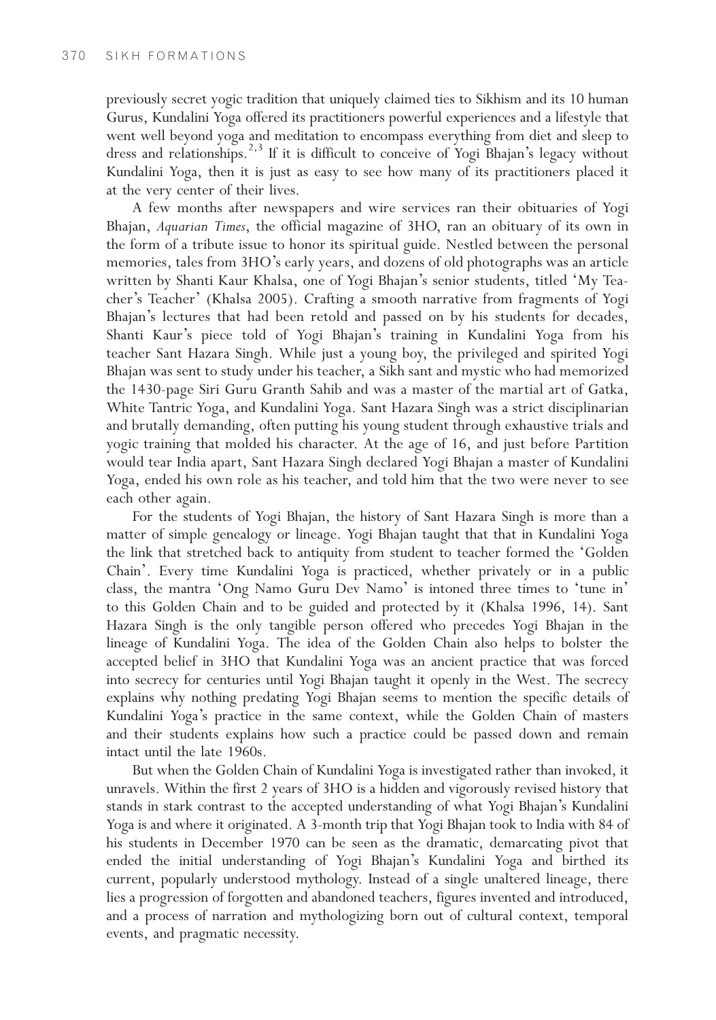previously secret yogic tradition that uniquely claimed ties to Sikhism and its 10 human Gurus, Kundalini Yoga offered its practitioners powerful experiences and a lifestyle that went well beyond yoga and meditation to encompass everything from diet and sleep to dress and relationships.2,3 If it is difficult to conceive of Yogi Bhajan's legacy without Kundalini Yoga, then it is just as easy to see how many of its practitioners placed it at the very center of their lives.

A few months after newspapers and wire services ran their obituaries of Yogi Bhajan, Aquarian Times, the official magazine of 3HO, ran an obituary of its own in the form of a tribute issue to honor its spiritual guide. Nestled between the personal memories, tales from 3HO's early years, and dozens of old photographs was an article written by Shanti Kaur Khalsa, one of Yogi Bhajan's senior students, titled 'My Teacher's Teacher' (Khalsa 2005). Crafting a smooth narrative from fragments of Yogi Bhajan's lectures that had been retold and passed on by his students for decades, Shanti Kaur's piece told of Yogi Bhajan's training in Kundalini Yoga from his teacher Sant Hazara Singh. While just a young boy, the privileged and spirited Yogi Bhajan was sent to study under his teacher, a Sikh sant and mystic who had memorized the 1430-page Siri Guru Granth Sahib and was a master of the martial art of Gatka, White Tantric Yoga, and Kundalini Yoga. Sant Hazara Singh was a strict disciplinarian and brutally demanding, often putting his young student through exhaustive trials and yogic training that molded his character. At the age of 16, and just before Partition would tear India apart, Sant Hazara Singh declared Yogi Bhajan a master of Kundalini Yoga, ended his own role as his teacher, and told him that the two were never to see each other again.

For the students of Yogi Bhajan, the history of Sant Hazara Singh is more than a matter of simple genealogy or lineage. Yogi Bhajan taught that that in Kundalini Yoga the link that stretched back to antiquity from student to teacher formed the 'Golden Chain'. Every time Kundalini Yoga is practiced, whether privately or in a public class, the mantra 'Ong Namo Guru Dev Namo' is intoned three times to 'tune in' to this Golden Chain and to be guided and protected by it (Khalsa 1996, 14). Sant Hazara Singh is the only tangible person offered who precedes Yogi Bhajan in the lineage of Kundalini Yoga. The idea of the Golden Chain also helps to bolster the accepted belief in 3HO that Kundalini Yoga was an ancient practice that was forced into secrecy for centuries until Yogi Bhajan taught it openly in the West. The secrecy explains why nothing predating Yogi Bhajan seems to mention the specific details of Kundalini Yoga's practice in the same context, while the Golden Chain of masters and their students explains how such a practice could be passed down and remain intact until the late 1960s.

But when the Golden Chain of Kundalini Yoga is investigated rather than invoked, it unravels. Within the first 2 years of 3HO is a hidden and vigorously revised history that stands in stark contrast to the accepted understanding of what Yogi Bhajan's Kundalini Yoga is and where it originated. A 3-month trip that Yogi Bhajan took to India with 84 of his students in December 1970 can be seen as the dramatic, demarcating pivot that ended the initial understanding of Yogi Bhajan's Kundalini Yoga and birthed its current, popularly understood mythology. Instead of a single unaltered lineage, there lies a progression of forgotten and abandoned teachers, figures invented and introduced, and a process of narration and mythologizing born out of cultural context, temporal events, and pragmatic necessity.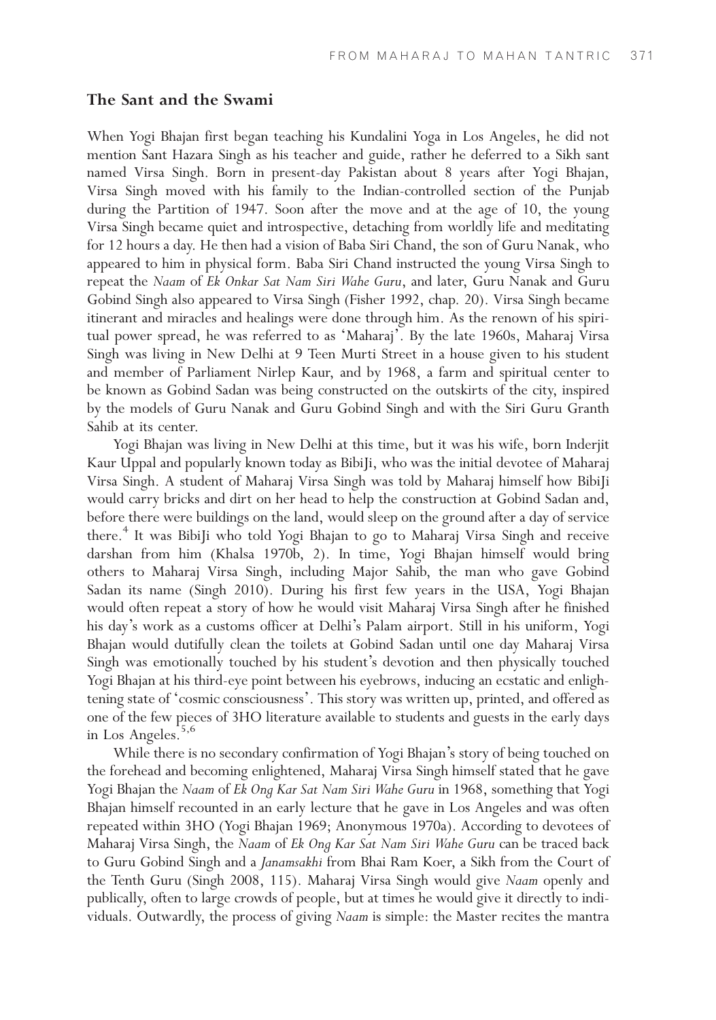## The Sant and the Swami

When Yogi Bhajan first began teaching his Kundalini Yoga in Los Angeles, he did not mention Sant Hazara Singh as his teacher and guide, rather he deferred to a Sikh sant named Virsa Singh. Born in present-day Pakistan about 8 years after Yogi Bhajan, Virsa Singh moved with his family to the Indian-controlled section of the Punjab during the Partition of 1947. Soon after the move and at the age of 10, the young Virsa Singh became quiet and introspective, detaching from worldly life and meditating for 12 hours a day. He then had a vision of Baba Siri Chand, the son of Guru Nanak, who appeared to him in physical form. Baba Siri Chand instructed the young Virsa Singh to repeat the Naam of Ek Onkar Sat Nam Siri Wahe Guru, and later, Guru Nanak and Guru Gobind Singh also appeared to Virsa Singh (Fisher 1992, chap. 20). Virsa Singh became itinerant and miracles and healings were done through him. As the renown of his spiritual power spread, he was referred to as 'Maharaj'. By the late 1960s, Maharaj Virsa Singh was living in New Delhi at 9 Teen Murti Street in a house given to his student and member of Parliament Nirlep Kaur, and by 1968, a farm and spiritual center to be known as Gobind Sadan was being constructed on the outskirts of the city, inspired by the models of Guru Nanak and Guru Gobind Singh and with the Siri Guru Granth Sahib at its center.

Yogi Bhajan was living in New Delhi at this time, but it was his wife, born Inderjit Kaur Uppal and popularly known today as BibiJi, who was the initial devotee of Maharaj Virsa Singh. A student of Maharaj Virsa Singh was told by Maharaj himself how BibiJi would carry bricks and dirt on her head to help the construction at Gobind Sadan and, before there were buildings on the land, would sleep on the ground after a day of service there.4 It was BibiJi who told Yogi Bhajan to go to Maharaj Virsa Singh and receive darshan from him (Khalsa 1970b, 2). In time, Yogi Bhajan himself would bring others to Maharaj Virsa Singh, including Major Sahib, the man who gave Gobind Sadan its name (Singh 2010). During his first few years in the USA, Yogi Bhajan would often repeat a story of how he would visit Maharaj Virsa Singh after he finished his day's work as a customs officer at Delhi's Palam airport. Still in his uniform, Yogi Bhajan would dutifully clean the toilets at Gobind Sadan until one day Maharaj Virsa Singh was emotionally touched by his student's devotion and then physically touched Yogi Bhajan at his third-eye point between his eyebrows, inducing an ecstatic and enlightening state of 'cosmic consciousness'. This story was written up, printed, and offered as one of the few pieces of 3HO literature available to students and guests in the early days in Los Angeles.<sup>5,6</sup>

While there is no secondary confirmation of Yogi Bhajan's story of being touched on the forehead and becoming enlightened, Maharaj Virsa Singh himself stated that he gave Yogi Bhajan the Naam of Ek Ong Kar Sat Nam Siri Wahe Guru in 1968, something that Yogi Bhajan himself recounted in an early lecture that he gave in Los Angeles and was often repeated within 3HO (Yogi Bhajan 1969; Anonymous 1970a). According to devotees of Maharaj Virsa Singh, the Naam of Ek Ong Kar Sat Nam Siri Wahe Guru can be traced back to Guru Gobind Singh and a Janamsakhi from Bhai Ram Koer, a Sikh from the Court of the Tenth Guru (Singh 2008, 115). Maharaj Virsa Singh would give Naam openly and publically, often to large crowds of people, but at times he would give it directly to individuals. Outwardly, the process of giving Naam is simple: the Master recites the mantra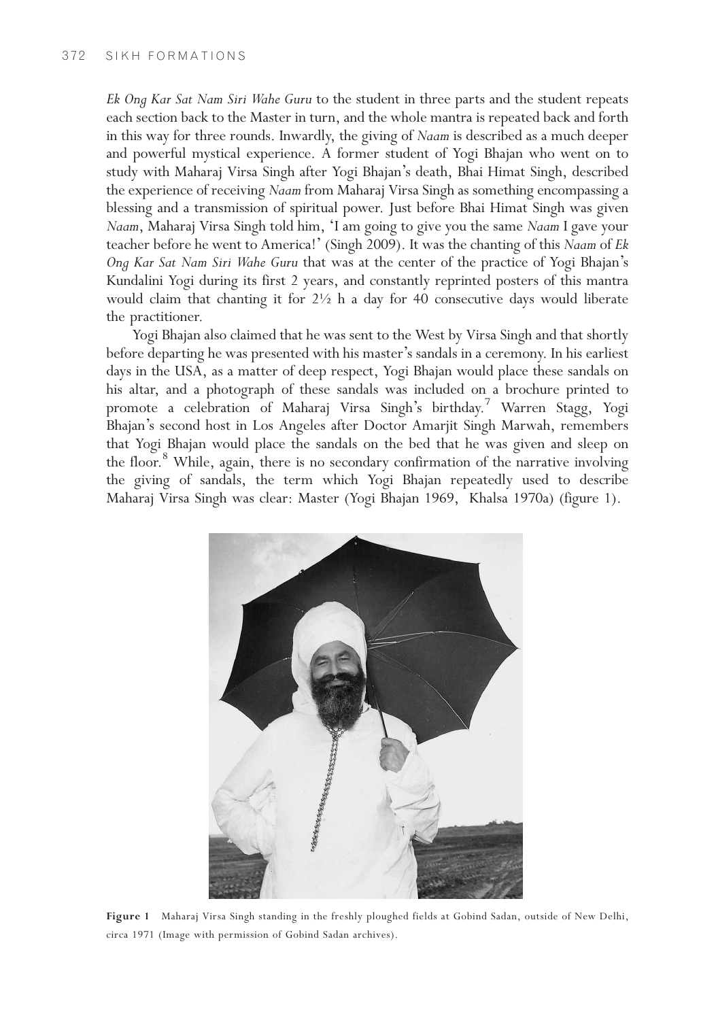Ek Ong Kar Sat Nam Siri Wahe Guru to the student in three parts and the student repeats each section back to the Master in turn, and the whole mantra is repeated back and forth in this way for three rounds. Inwardly, the giving of Naam is described as a much deeper and powerful mystical experience. A former student of Yogi Bhajan who went on to study with Maharaj Virsa Singh after Yogi Bhajan's death, Bhai Himat Singh, described the experience of receiving Naam from Maharaj Virsa Singh as something encompassing a blessing and a transmission of spiritual power. Just before Bhai Himat Singh was given Naam, Maharaj Virsa Singh told him, 'I am going to give you the same Naam I gave your teacher before he went to America!' (Singh 2009). It was the chanting of this Naam of Ek Ong Kar Sat Nam Siri Wahe Guru that was at the center of the practice of Yogi Bhajan's Kundalini Yogi during its first 2 years, and constantly reprinted posters of this mantra would claim that chanting it for 2½ h a day for 40 consecutive days would liberate the practitioner.

Yogi Bhajan also claimed that he was sent to the West by Virsa Singh and that shortly before departing he was presented with his master's sandals in a ceremony. In his earliest days in the USA, as a matter of deep respect, Yogi Bhajan would place these sandals on his altar, and a photograph of these sandals was included on a brochure printed to promote a celebration of Maharaj Virsa Singh's birthday.7 Warren Stagg, Yogi Bhajan's second host in Los Angeles after Doctor Amarjit Singh Marwah, remembers that Yogi Bhajan would place the sandals on the bed that he was given and sleep on the floor.<sup>8</sup> While, again, there is no secondary confirmation of the narrative involving the giving of sandals, the term which Yogi Bhajan repeatedly used to describe Maharaj Virsa Singh was clear: Master (Yogi Bhajan 1969, Khalsa 1970a) (figure 1).



Figure 1 Maharaj Virsa Singh standing in the freshly ploughed fields at Gobind Sadan, outside of New Delhi, circa 1971 (Image with permission of Gobind Sadan archives).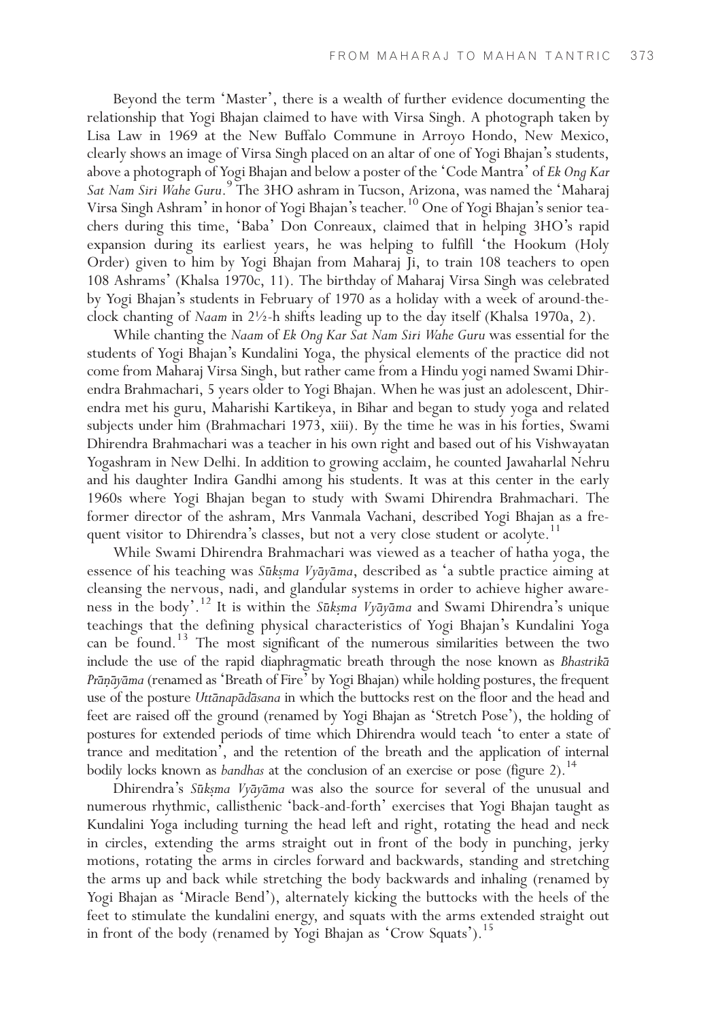Beyond the term 'Master', there is a wealth of further evidence documenting the relationship that Yogi Bhajan claimed to have with Virsa Singh. A photograph taken by Lisa Law in 1969 at the New Buffalo Commune in Arroyo Hondo, New Mexico, clearly shows an image of Virsa Singh placed on an altar of one of Yogi Bhajan's students, above a photograph of Yogi Bhajan and below a poster of the'Code Mantra' of Ek Ong Kar Sat Nam Siri Wahe Guru.<sup>9</sup> The 3HO ashram in Tucson, Arizona, was named the 'Maharaj Virsa Singh Ashram' in honor of Yogi Bhajan's teacher.10 One of Yogi Bhajan's senior teachers during this time, 'Baba' Don Conreaux, claimed that in helping 3HO's rapid expansion during its earliest years, he was helping to fulfill 'the Hookum (Holy Order) given to him by Yogi Bhajan from Maharaj Ji, to train 108 teachers to open 108 Ashrams' (Khalsa 1970c, 11). The birthday of Maharaj Virsa Singh was celebrated by Yogi Bhajan's students in February of 1970 as a holiday with a week of around-theclock chanting of Naam in 2½-h shifts leading up to the day itself (Khalsa 1970a, 2).

While chanting the Naam of Ek Ong Kar Sat Nam Siri Wahe Guru was essential for the students of Yogi Bhajan's Kundalini Yoga, the physical elements of the practice did not come from Maharaj Virsa Singh, but rather came from a Hindu yogi named Swami Dhirendra Brahmachari, 5 years older to Yogi Bhajan. When he was just an adolescent, Dhirendra met his guru, Maharishi Kartikeya, in Bihar and began to study yoga and related subjects under him (Brahmachari 1973, xiii). By the time he was in his forties, Swami Dhirendra Brahmachari was a teacher in his own right and based out of his Vishwayatan Yogashram in New Delhi. In addition to growing acclaim, he counted Jawaharlal Nehru and his daughter Indira Gandhi among his students. It was at this center in the early 1960s where Yogi Bhajan began to study with Swami Dhirendra Brahmachari. The former director of the ashram, Mrs Vanmala Vachani, described Yogi Bhajan as a frequent visitor to Dhirendra's classes, but not a very close student or acolyte.<sup>11</sup>

While Swami Dhirendra Brahmachari was viewed as a teacher of hatha yoga, the essence of his teaching was Sūksma Vyāyāma, described as 'a subtle practice aiming at cleansing the nervous, nadi, and glandular systems in order to achieve higher awareness in the body'.<sup>12</sup> It is within the Sūksma Vyāyāma and Swami Dhirendra's unique teachings that the defining physical characteristics of Yogi Bhajan's Kundalini Yoga can be found.<sup>13</sup> The most significant of the numerous similarities between the two include the use of the rapid diaphragmatic breath through the nose known as Bhastrika Prāņāyāma (renamed as 'Breath of Fire' by Yogi Bhajan) while holding postures, the frequent use of the posture Uttānapādāsana in which the buttocks rest on the floor and the head and feet are raised off the ground (renamed by Yogi Bhajan as 'Stretch Pose'), the holding of postures for extended periods of time which Dhirendra would teach 'to enter a state of trance and meditation', and the retention of the breath and the application of internal bodily locks known as *bandhas* at the conclusion of an exercise or pose (figure 2).<sup>14</sup>

Dhirendra's Sūksma Vyāyāma was also the source for several of the unusual and numerous rhythmic, callisthenic 'back-and-forth' exercises that Yogi Bhajan taught as Kundalini Yoga including turning the head left and right, rotating the head and neck in circles, extending the arms straight out in front of the body in punching, jerky motions, rotating the arms in circles forward and backwards, standing and stretching the arms up and back while stretching the body backwards and inhaling (renamed by Yogi Bhajan as 'Miracle Bend'), alternately kicking the buttocks with the heels of the feet to stimulate the kundalini energy, and squats with the arms extended straight out in front of the body (renamed by Yogi Bhajan as 'Crow Squats').<sup>15</sup>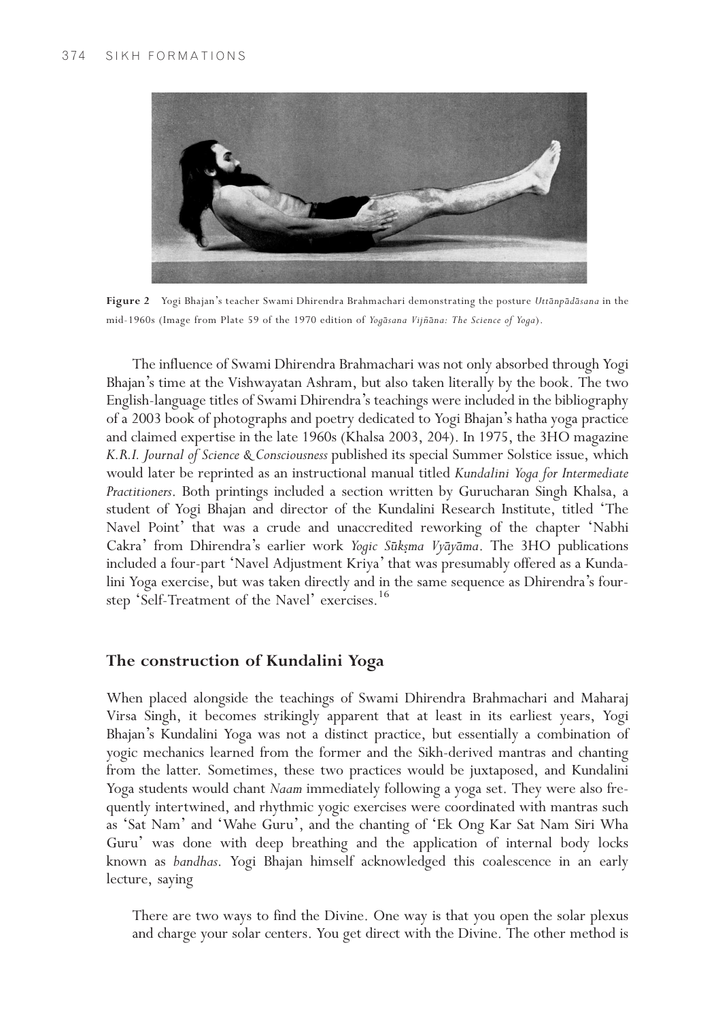

Figure 2 Yogi Bhajan's teacher Swami Dhirendra Brahmachari demonstrating the posture Uttānpādāsana in the mid-1960s (Image from Plate 59 of the 1970 edition of Yogāsana Vijñāna: The Science of Yoga).

The influence of Swami Dhirendra Brahmachari was not only absorbed through Yogi Bhajan's time at the Vishwayatan Ashram, but also taken literally by the book. The two English-language titles of Swami Dhirendra's teachings were included in the bibliography of a 2003 book of photographs and poetry dedicated to Yogi Bhajan's hatha yoga practice and claimed expertise in the late 1960s (Khalsa 2003, 204). In 1975, the 3HO magazine K.R.I. Journal of Science & Consciousness published its special Summer Solstice issue, which would later be reprinted as an instructional manual titled Kundalini Yoga for Intermediate Practitioners. Both printings included a section written by Gurucharan Singh Khalsa, a student of Yogi Bhajan and director of the Kundalini Research Institute, titled 'The Navel Point' that was a crude and unaccredited reworking of the chapter 'Nabhi Cakra' from Dhirendra's earlier work Yogic Sūksma Vyāyāma. The 3HO publications included a four-part 'Navel Adjustment Kriya' that was presumably offered as a Kundalini Yoga exercise, but was taken directly and in the same sequence as Dhirendra's fourstep 'Self-Treatment of the Navel' exercises.16

# The construction of Kundalini Yoga

When placed alongside the teachings of Swami Dhirendra Brahmachari and Maharaj Virsa Singh, it becomes strikingly apparent that at least in its earliest years, Yogi Bhajan's Kundalini Yoga was not a distinct practice, but essentially a combination of yogic mechanics learned from the former and the Sikh-derived mantras and chanting from the latter. Sometimes, these two practices would be juxtaposed, and Kundalini Yoga students would chant Naam immediately following a yoga set. They were also frequently intertwined, and rhythmic yogic exercises were coordinated with mantras such as 'Sat Nam' and 'Wahe Guru', and the chanting of 'Ek Ong Kar Sat Nam Siri Wha Guru' was done with deep breathing and the application of internal body locks known as bandhas. Yogi Bhajan himself acknowledged this coalescence in an early lecture, saying

There are two ways to find the Divine. One way is that you open the solar plexus and charge your solar centers. You get direct with the Divine. The other method is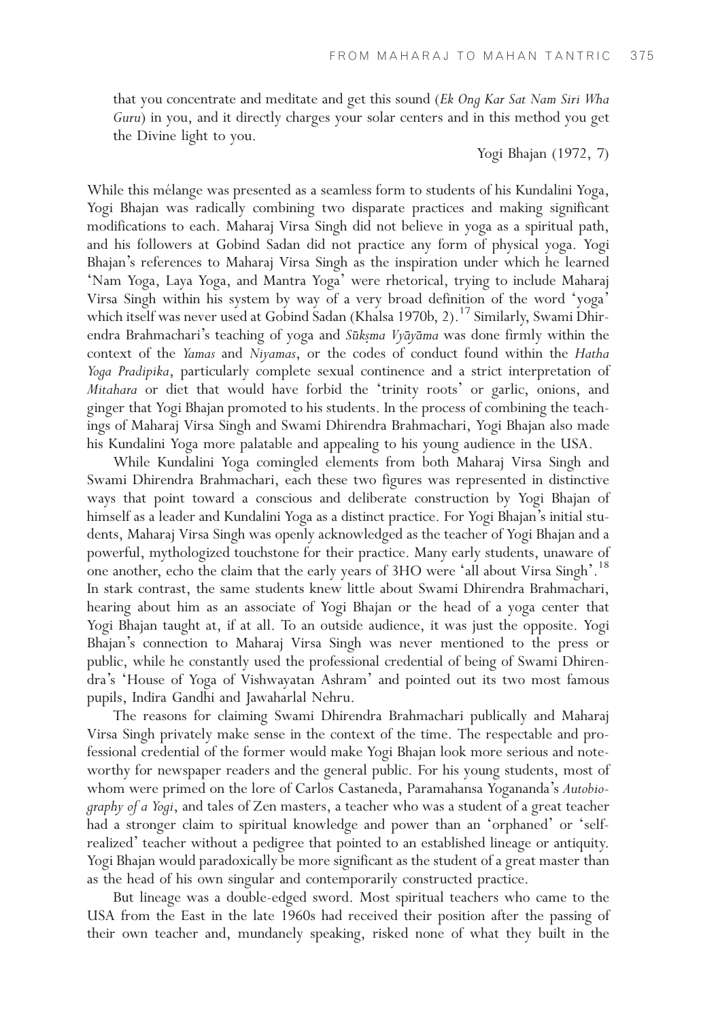that you concentrate and meditate and get this sound (Ek Ong Kar Sat Nam Siri Wha Guru) in you, and it directly charges your solar centers and in this method you get the Divine light to you.

Yogi Bhajan (1972, 7)

While this mélange was presented as a seamless form to students of his Kundalini Yoga, Yogi Bhajan was radically combining two disparate practices and making significant modifications to each. Maharaj Virsa Singh did not believe in yoga as a spiritual path, and his followers at Gobind Sadan did not practice any form of physical yoga. Yogi Bhajan's references to Maharaj Virsa Singh as the inspiration under which he learned 'Nam Yoga, Laya Yoga, and Mantra Yoga' were rhetorical, trying to include Maharaj Virsa Singh within his system by way of a very broad definition of the word 'yoga' which itself was never used at Gobind Sadan (Khalsa 1970b, 2).<sup>17</sup> Similarly, Swami Dhirendra Brahmachari's teaching of yoga and Sūksma Vyāyāma was done firmly within the context of the Yamas and Niyamas, or the codes of conduct found within the Hatha Yoga Pradipika, particularly complete sexual continence and a strict interpretation of Mitahara or diet that would have forbid the 'trinity roots' or garlic, onions, and ginger that Yogi Bhajan promoted to his students. In the process of combining the teachings of Maharaj Virsa Singh and Swami Dhirendra Brahmachari, Yogi Bhajan also made his Kundalini Yoga more palatable and appealing to his young audience in the USA.

While Kundalini Yoga comingled elements from both Maharaj Virsa Singh and Swami Dhirendra Brahmachari, each these two figures was represented in distinctive ways that point toward a conscious and deliberate construction by Yogi Bhajan of himself as a leader and Kundalini Yoga as a distinct practice. For Yogi Bhajan's initial students, Maharaj Virsa Singh was openly acknowledged as the teacher of Yogi Bhajan and a powerful, mythologized touchstone for their practice. Many early students, unaware of one another, echo the claim that the early years of 3HO were 'all about Virsa Singh'.<sup>18</sup> In stark contrast, the same students knew little about Swami Dhirendra Brahmachari, hearing about him as an associate of Yogi Bhajan or the head of a yoga center that Yogi Bhajan taught at, if at all. To an outside audience, it was just the opposite. Yogi Bhajan's connection to Maharaj Virsa Singh was never mentioned to the press or public, while he constantly used the professional credential of being of Swami Dhirendra's 'House of Yoga of Vishwayatan Ashram' and pointed out its two most famous pupils, Indira Gandhi and Jawaharlal Nehru.

The reasons for claiming Swami Dhirendra Brahmachari publically and Maharaj Virsa Singh privately make sense in the context of the time. The respectable and professional credential of the former would make Yogi Bhajan look more serious and noteworthy for newspaper readers and the general public. For his young students, most of whom were primed on the lore of Carlos Castaneda, Paramahansa Yogananda's Autobiography of a Yogi, and tales of Zen masters, a teacher who was a student of a great teacher had a stronger claim to spiritual knowledge and power than an 'orphaned' or 'selfrealized' teacher without a pedigree that pointed to an established lineage or antiquity. Yogi Bhajan would paradoxically be more significant as the student of a great master than as the head of his own singular and contemporarily constructed practice.

But lineage was a double-edged sword. Most spiritual teachers who came to the USA from the East in the late 1960s had received their position after the passing of their own teacher and, mundanely speaking, risked none of what they built in the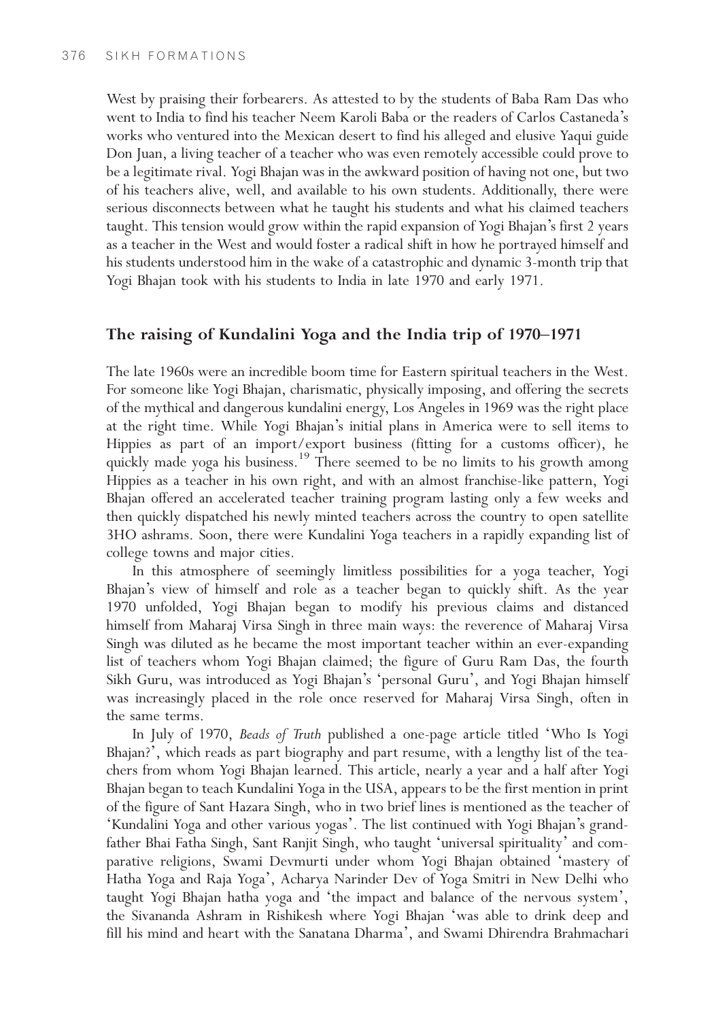West by praising their forbearers. As attested to by the students of Baba Ram Das who went to India to find his teacher Neem Karoli Baba or the readers of Carlos Castaneda's works who ventured into the Mexican desert to find his alleged and elusive Yaqui guide Don Juan, a living teacher of a teacher who was even remotely accessible could prove to be a legitimate rival. Yogi Bhajan was in the awkward position of having not one, but two of his teachers alive, well, and available to his own students. Additionally, there were serious disconnects between what he taught his students and what his claimed teachers taught. This tension would grow within the rapid expansion of Yogi Bhajan's first 2 years as a teacher in the West and would foster a radical shift in how he portrayed himself and his students understood him in the wake of a catastrophic and dynamic 3-month trip that Yogi Bhajan took with his students to India in late 1970 and early 1971.

# The raising of Kundalini Yoga and the India trip of 1970–1971

The late 1960s were an incredible boom time for Eastern spiritual teachers in the West. For someone like Yogi Bhajan, charismatic, physically imposing, and offering the secrets of the mythical and dangerous kundalini energy, Los Angeles in 1969 was the right place at the right time. While Yogi Bhajan's initial plans in America were to sell items to Hippies as part of an import/export business (fitting for a customs officer), he quickly made yoga his business.<sup>19</sup> There seemed to be no limits to his growth among Hippies as a teacher in his own right, and with an almost franchise-like pattern, Yogi Bhajan offered an accelerated teacher training program lasting only a few weeks and then quickly dispatched his newly minted teachers across the country to open satellite 3HO ashrams. Soon, there were Kundalini Yoga teachers in a rapidly expanding list of college towns and major cities.

In this atmosphere of seemingly limitless possibilities for a yoga teacher, Yogi Bhajan's view of himself and role as a teacher began to quickly shift. As the year 1970 unfolded, Yogi Bhajan began to modify his previous claims and distanced himself from Maharaj Virsa Singh in three main ways: the reverence of Maharaj Virsa Singh was diluted as he became the most important teacher within an ever-expanding list of teachers whom Yogi Bhajan claimed; the figure of Guru Ram Das, the fourth Sikh Guru, was introduced as Yogi Bhajan's 'personal Guru', and Yogi Bhajan himself was increasingly placed in the role once reserved for Maharaj Virsa Singh, often in the same terms.

In July of 1970, Beads of Truth published a one-page article titled 'Who Is Yogi Bhajan?', which reads as part biography and part resume, with a lengthy list of the teachers from whom Yogi Bhajan learned. This article, nearly a year and a half after Yogi Bhajan began to teach Kundalini Yoga in the USA, appears to be the first mention in print of the figure of Sant Hazara Singh, who in two brief lines is mentioned as the teacher of 'Kundalini Yoga and other various yogas'. The list continued with Yogi Bhajan's grandfather Bhai Fatha Singh, Sant Ranjit Singh, who taught 'universal spirituality' and comparative religions, Swami Devmurti under whom Yogi Bhajan obtained 'mastery of Hatha Yoga and Raja Yoga', Acharya Narinder Dev of Yoga Smitri in New Delhi who taught Yogi Bhajan hatha yoga and 'the impact and balance of the nervous system', the Sivananda Ashram in Rishikesh where Yogi Bhajan 'was able to drink deep and fill his mind and heart with the Sanatana Dharma', and Swami Dhirendra Brahmachari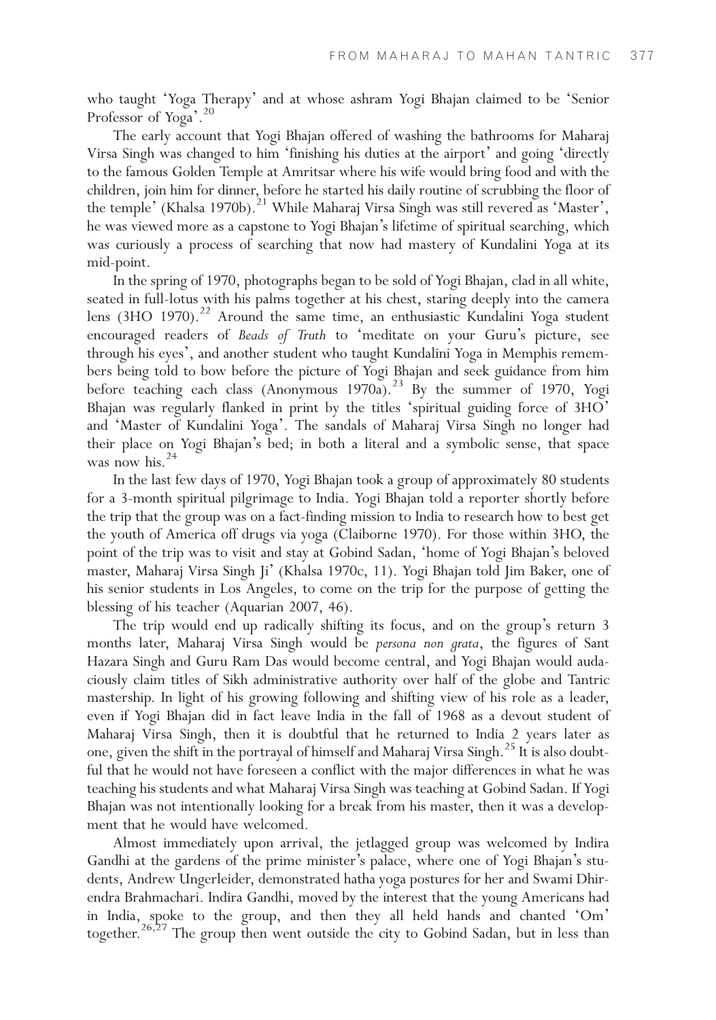who taught 'Yoga Therapy' and at whose ashram Yogi Bhajan claimed to be 'Senior Professor of Yoga'.<sup>20</sup>

The early account that Yogi Bhajan offered of washing the bathrooms for Maharaj Virsa Singh was changed to him 'finishing his duties at the airport' and going 'directly to the famous Golden Temple at Amritsar where his wife would bring food and with the children, join him for dinner, before he started his daily routine of scrubbing the floor of the temple' (Khalsa 1970b).<sup>21</sup> While Maharaj Virsa Singh was still revered as 'Master', he was viewed more as a capstone to Yogi Bhajan's lifetime of spiritual searching, which was curiously a process of searching that now had mastery of Kundalini Yoga at its mid-point.

In the spring of 1970, photographs began to be sold of Yogi Bhajan, clad in all white, seated in full-lotus with his palms together at his chest, staring deeply into the camera lens (3HO 1970).<sup>22</sup> Around the same time, an enthusiastic Kundalini Yoga student encouraged readers of Beads of Truth to 'meditate on your Guru's picture, see through his eyes', and another student who taught Kundalini Yoga in Memphis remembers being told to bow before the picture of Yogi Bhajan and seek guidance from him before teaching each class (Anonymous 1970a).<sup>23</sup> By the summer of 1970, Yogi Bhajan was regularly flanked in print by the titles 'spiritual guiding force of 3HO' and 'Master of Kundalini Yoga'. The sandals of Maharaj Virsa Singh no longer had their place on Yogi Bhajan's bed; in both a literal and a symbolic sense, that space was now his.<sup>24</sup>

In the last few days of 1970, Yogi Bhajan took a group of approximately 80 students for a 3-month spiritual pilgrimage to India. Yogi Bhajan told a reporter shortly before the trip that the group was on a fact-finding mission to India to research how to best get the youth of America off drugs via yoga (Claiborne 1970). For those within 3HO, the point of the trip was to visit and stay at Gobind Sadan, 'home of Yogi Bhajan's beloved master, Maharaj Virsa Singh Ji' (Khalsa 1970c, 11). Yogi Bhajan told Jim Baker, one of his senior students in Los Angeles, to come on the trip for the purpose of getting the blessing of his teacher (Aquarian 2007, 46).

The trip would end up radically shifting its focus, and on the group's return 3 months later, Maharaj Virsa Singh would be persona non grata, the figures of Sant Hazara Singh and Guru Ram Das would become central, and Yogi Bhajan would audaciously claim titles of Sikh administrative authority over half of the globe and Tantric mastership. In light of his growing following and shifting view of his role as a leader, even if Yogi Bhajan did in fact leave India in the fall of 1968 as a devout student of Maharaj Virsa Singh, then it is doubtful that he returned to India 2 years later as one, given the shift in the portrayal of himself and Maharaj Virsa Singh.<sup>25</sup> It is also doubtful that he would not have foreseen a conflict with the major differences in what he was teaching his students and what Maharaj Virsa Singh was teaching at Gobind Sadan. If Yogi Bhajan was not intentionally looking for a break from his master, then it was a development that he would have welcomed.

Almost immediately upon arrival, the jetlagged group was welcomed by Indira Gandhi at the gardens of the prime minister's palace, where one of Yogi Bhajan's students, Andrew Ungerleider, demonstrated hatha yoga postures for her and Swami Dhirendra Brahmachari. Indira Gandhi, moved by the interest that the young Americans had in India, spoke to the group, and then they all held hands and chanted 'Om' together.26,27 The group then went outside the city to Gobind Sadan, but in less than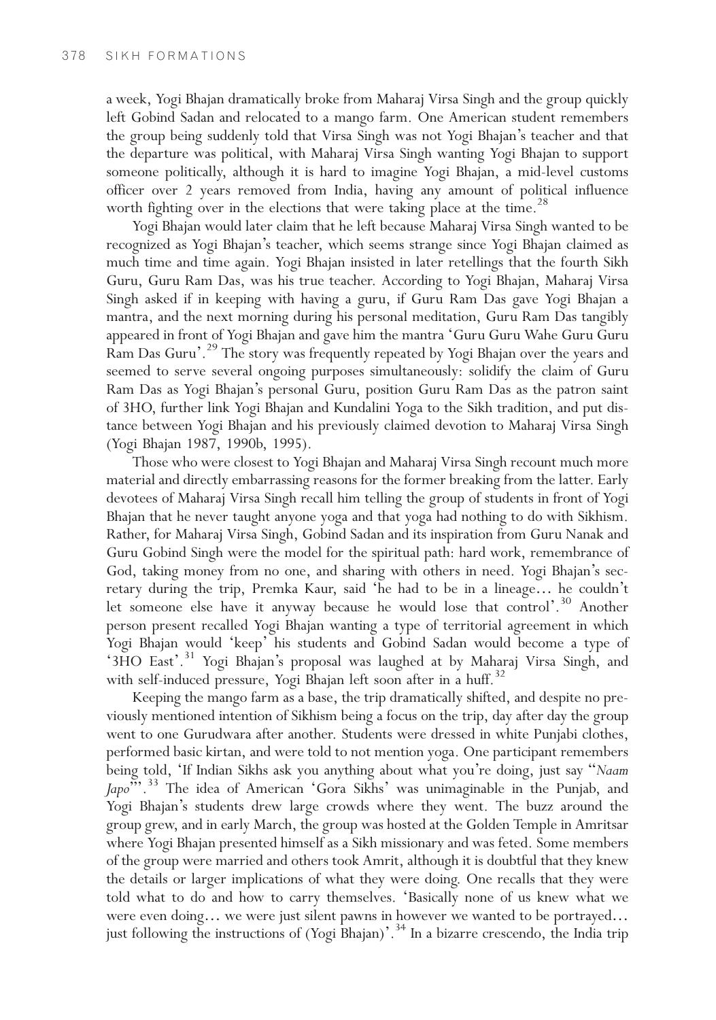a week, Yogi Bhajan dramatically broke from Maharaj Virsa Singh and the group quickly left Gobind Sadan and relocated to a mango farm. One American student remembers the group being suddenly told that Virsa Singh was not Yogi Bhajan's teacher and that the departure was political, with Maharaj Virsa Singh wanting Yogi Bhajan to support someone politically, although it is hard to imagine Yogi Bhajan, a mid-level customs officer over 2 years removed from India, having any amount of political influence worth fighting over in the elections that were taking place at the time.<sup>28</sup>

Yogi Bhajan would later claim that he left because Maharaj Virsa Singh wanted to be recognized as Yogi Bhajan's teacher, which seems strange since Yogi Bhajan claimed as much time and time again. Yogi Bhajan insisted in later retellings that the fourth Sikh Guru, Guru Ram Das, was his true teacher. According to Yogi Bhajan, Maharaj Virsa Singh asked if in keeping with having a guru, if Guru Ram Das gave Yogi Bhajan a mantra, and the next morning during his personal meditation, Guru Ram Das tangibly appeared in front of Yogi Bhajan and gave him the mantra 'Guru Guru Wahe Guru Guru Ram Das Guru'. <sup>29</sup> The story was frequently repeated by Yogi Bhajan over the years and seemed to serve several ongoing purposes simultaneously: solidify the claim of Guru Ram Das as Yogi Bhajan's personal Guru, position Guru Ram Das as the patron saint of 3HO, further link Yogi Bhajan and Kundalini Yoga to the Sikh tradition, and put distance between Yogi Bhajan and his previously claimed devotion to Maharaj Virsa Singh (Yogi Bhajan 1987, 1990b, 1995).

Those who were closest to Yogi Bhajan and Maharaj Virsa Singh recount much more material and directly embarrassing reasons for the former breaking from the latter. Early devotees of Maharaj Virsa Singh recall him telling the group of students in front of Yogi Bhajan that he never taught anyone yoga and that yoga had nothing to do with Sikhism. Rather, for Maharaj Virsa Singh, Gobind Sadan and its inspiration from Guru Nanak and Guru Gobind Singh were the model for the spiritual path: hard work, remembrance of God, taking money from no one, and sharing with others in need. Yogi Bhajan's secretary during the trip, Premka Kaur, said 'he had to be in a lineage… he couldn't let someone else have it anyway because he would lose that control'. <sup>30</sup> Another person present recalled Yogi Bhajan wanting a type of territorial agreement in which Yogi Bhajan would 'keep' his students and Gobind Sadan would become a type of '3HO East'.<sup>31</sup> Yogi Bhajan's proposal was laughed at by Maharaj Virsa Singh, and with self-induced pressure, Yogi Bhajan left soon after in a huff.<sup>32</sup>

Keeping the mango farm as a base, the trip dramatically shifted, and despite no previously mentioned intention of Sikhism being a focus on the trip, day after day the group went to one Gurudwara after another. Students were dressed in white Punjabi clothes, performed basic kirtan, and were told to not mention yoga. One participant remembers being told, 'If Indian Sikhs ask you anything about what you're doing, just say "Naam Japo".<sup>33</sup> The idea of American 'Gora Sikhs' was unimaginable in the Punjab, and Yogi Bhajan's students drew large crowds where they went. The buzz around the group grew, and in early March, the group was hosted at the Golden Temple in Amritsar where Yogi Bhajan presented himself as a Sikh missionary and was feted. Some members of the group were married and others took Amrit, although it is doubtful that they knew the details or larger implications of what they were doing. One recalls that they were told what to do and how to carry themselves. 'Basically none of us knew what we were even doing... we were just silent pawns in however we wanted to be portrayed... just following the instructions of (Yogi Bhajan)'.<sup>34</sup> In a bizarre crescendo, the India trip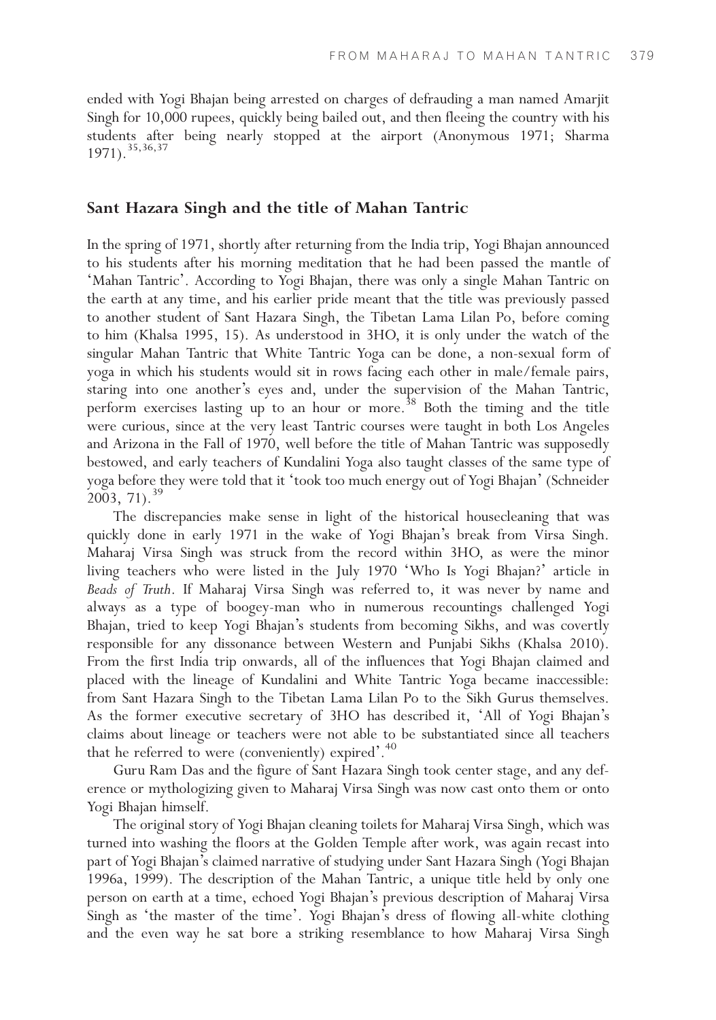ended with Yogi Bhajan being arrested on charges of defrauding a man named Amarjit Singh for 10,000 rupees, quickly being bailed out, and then fleeing the country with his students after being nearly stopped at the airport (Anonymous 1971; Sharma 1971).<sup>35,36,37</sup>

#### Sant Hazara Singh and the title of Mahan Tantric

In the spring of 1971, shortly after returning from the India trip, Yogi Bhajan announced to his students after his morning meditation that he had been passed the mantle of 'Mahan Tantric'. According to Yogi Bhajan, there was only a single Mahan Tantric on the earth at any time, and his earlier pride meant that the title was previously passed to another student of Sant Hazara Singh, the Tibetan Lama Lilan Po, before coming to him (Khalsa 1995, 15). As understood in 3HO, it is only under the watch of the singular Mahan Tantric that White Tantric Yoga can be done, a non-sexual form of yoga in which his students would sit in rows facing each other in male/female pairs, staring into one another's eyes and, under the supervision of the Mahan Tantric, perform exercises lasting up to an hour or more.<sup>38</sup> Both the timing and the title were curious, since at the very least Tantric courses were taught in both Los Angeles and Arizona in the Fall of 1970, well before the title of Mahan Tantric was supposedly bestowed, and early teachers of Kundalini Yoga also taught classes of the same type of yoga before they were told that it 'took too much energy out of Yogi Bhajan' (Schneider  $2003, 71$ ).<sup>39</sup>

The discrepancies make sense in light of the historical housecleaning that was quickly done in early 1971 in the wake of Yogi Bhajan's break from Virsa Singh. Maharaj Virsa Singh was struck from the record within 3HO, as were the minor living teachers who were listed in the July 1970 'Who Is Yogi Bhajan?' article in Beads of Truth. If Maharaj Virsa Singh was referred to, it was never by name and always as a type of boogey-man who in numerous recountings challenged Yogi Bhajan, tried to keep Yogi Bhajan's students from becoming Sikhs, and was covertly responsible for any dissonance between Western and Punjabi Sikhs (Khalsa 2010). From the first India trip onwards, all of the influences that Yogi Bhajan claimed and placed with the lineage of Kundalini and White Tantric Yoga became inaccessible: from Sant Hazara Singh to the Tibetan Lama Lilan Po to the Sikh Gurus themselves. As the former executive secretary of 3HO has described it, 'All of Yogi Bhajan's claims about lineage or teachers were not able to be substantiated since all teachers that he referred to were (conveniently) expired'.<sup>40</sup>

Guru Ram Das and the figure of Sant Hazara Singh took center stage, and any deference or mythologizing given to Maharaj Virsa Singh was now cast onto them or onto Yogi Bhajan himself.

The original story of Yogi Bhajan cleaning toilets for Maharaj Virsa Singh, which was turned into washing the floors at the Golden Temple after work, was again recast into part of Yogi Bhajan's claimed narrative of studying under Sant Hazara Singh (Yogi Bhajan 1996a, 1999). The description of the Mahan Tantric, a unique title held by only one person on earth at a time, echoed Yogi Bhajan's previous description of Maharaj Virsa Singh as 'the master of the time'. Yogi Bhajan's dress of flowing all-white clothing and the even way he sat bore a striking resemblance to how Maharaj Virsa Singh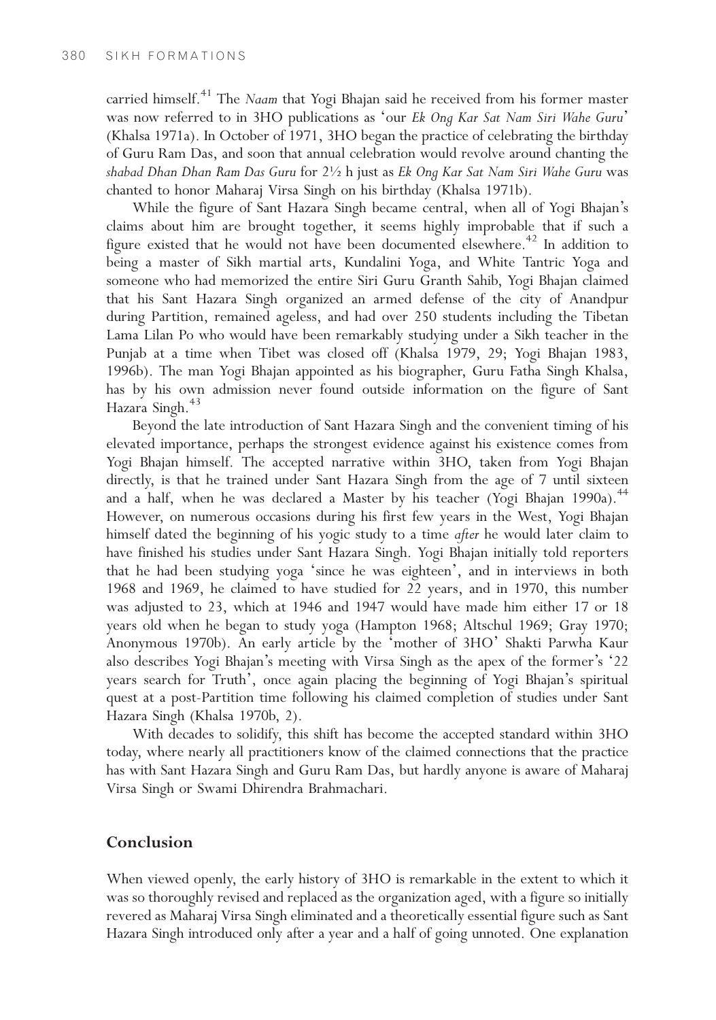carried himself.<sup>41</sup> The Naam that Yogi Bhajan said he received from his former master was now referred to in 3HO publications as 'our Ek Ong Kar Sat Nam Siri Wahe Guru' (Khalsa 1971a). In October of 1971, 3HO began the practice of celebrating the birthday of Guru Ram Das, and soon that annual celebration would revolve around chanting the shabad Dhan Dhan Ram Das Guru for 2½ h just as Ek Ong Kar Sat Nam Siri Wahe Guru was chanted to honor Maharaj Virsa Singh on his birthday (Khalsa 1971b).

While the figure of Sant Hazara Singh became central, when all of Yogi Bhajan's claims about him are brought together, it seems highly improbable that if such a figure existed that he would not have been documented elsewhere.<sup>42</sup> In addition to being a master of Sikh martial arts, Kundalini Yoga, and White Tantric Yoga and someone who had memorized the entire Siri Guru Granth Sahib, Yogi Bhajan claimed that his Sant Hazara Singh organized an armed defense of the city of Anandpur during Partition, remained ageless, and had over 250 students including the Tibetan Lama Lilan Po who would have been remarkably studying under a Sikh teacher in the Punjab at a time when Tibet was closed off (Khalsa 1979, 29; Yogi Bhajan 1983, 1996b). The man Yogi Bhajan appointed as his biographer, Guru Fatha Singh Khalsa, has by his own admission never found outside information on the figure of Sant Hazara Singh.<sup>43</sup>

Beyond the late introduction of Sant Hazara Singh and the convenient timing of his elevated importance, perhaps the strongest evidence against his existence comes from Yogi Bhajan himself. The accepted narrative within 3HO, taken from Yogi Bhajan directly, is that he trained under Sant Hazara Singh from the age of 7 until sixteen and a half, when he was declared a Master by his teacher (Yogi Bhajan 1990a).<sup>44</sup> However, on numerous occasions during his first few years in the West, Yogi Bhajan himself dated the beginning of his yogic study to a time *after* he would later claim to have finished his studies under Sant Hazara Singh. Yogi Bhajan initially told reporters that he had been studying yoga 'since he was eighteen', and in interviews in both 1968 and 1969, he claimed to have studied for 22 years, and in 1970, this number was adjusted to 23, which at 1946 and 1947 would have made him either 17 or 18 years old when he began to study yoga (Hampton 1968; Altschul 1969; Gray 1970; Anonymous 1970b). An early article by the 'mother of 3HO' Shakti Parwha Kaur also describes Yogi Bhajan's meeting with Virsa Singh as the apex of the former's '22 years search for Truth', once again placing the beginning of Yogi Bhajan's spiritual quest at a post-Partition time following his claimed completion of studies under Sant Hazara Singh (Khalsa 1970b, 2).

With decades to solidify, this shift has become the accepted standard within 3HO today, where nearly all practitioners know of the claimed connections that the practice has with Sant Hazara Singh and Guru Ram Das, but hardly anyone is aware of Maharaj Virsa Singh or Swami Dhirendra Brahmachari.

## Conclusion

When viewed openly, the early history of 3HO is remarkable in the extent to which it was so thoroughly revised and replaced as the organization aged, with a figure so initially revered as Maharaj Virsa Singh eliminated and a theoretically essential figure such as Sant Hazara Singh introduced only after a year and a half of going unnoted. One explanation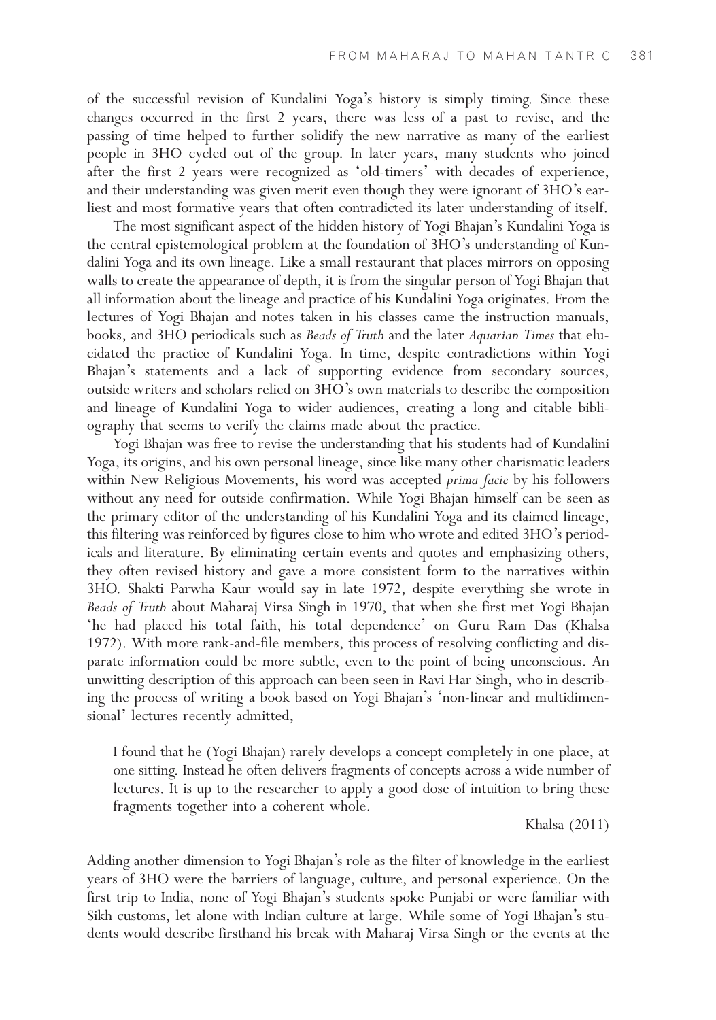of the successful revision of Kundalini Yoga's history is simply timing. Since these changes occurred in the first 2 years, there was less of a past to revise, and the passing of time helped to further solidify the new narrative as many of the earliest people in 3HO cycled out of the group. In later years, many students who joined after the first 2 years were recognized as 'old-timers' with decades of experience, and their understanding was given merit even though they were ignorant of 3HO's earliest and most formative years that often contradicted its later understanding of itself.

The most significant aspect of the hidden history of Yogi Bhajan's Kundalini Yoga is the central epistemological problem at the foundation of 3HO's understanding of Kundalini Yoga and its own lineage. Like a small restaurant that places mirrors on opposing walls to create the appearance of depth, it is from the singular person of Yogi Bhajan that all information about the lineage and practice of his Kundalini Yoga originates. From the lectures of Yogi Bhajan and notes taken in his classes came the instruction manuals, books, and 3HO periodicals such as Beads of Truth and the later Aquarian Times that elucidated the practice of Kundalini Yoga. In time, despite contradictions within Yogi Bhajan's statements and a lack of supporting evidence from secondary sources, outside writers and scholars relied on 3HO's own materials to describe the composition and lineage of Kundalini Yoga to wider audiences, creating a long and citable bibliography that seems to verify the claims made about the practice.

Yogi Bhajan was free to revise the understanding that his students had of Kundalini Yoga, its origins, and his own personal lineage, since like many other charismatic leaders within New Religious Movements, his word was accepted prima facie by his followers without any need for outside confirmation. While Yogi Bhajan himself can be seen as the primary editor of the understanding of his Kundalini Yoga and its claimed lineage, this filtering was reinforced by figures close to him who wrote and edited 3HO's periodicals and literature. By eliminating certain events and quotes and emphasizing others, they often revised history and gave a more consistent form to the narratives within 3HO. Shakti Parwha Kaur would say in late 1972, despite everything she wrote in Beads of Truth about Maharaj Virsa Singh in 1970, that when she first met Yogi Bhajan 'he had placed his total faith, his total dependence' on Guru Ram Das (Khalsa 1972). With more rank-and-file members, this process of resolving conflicting and disparate information could be more subtle, even to the point of being unconscious. An unwitting description of this approach can been seen in Ravi Har Singh, who in describing the process of writing a book based on Yogi Bhajan's 'non-linear and multidimensional' lectures recently admitted,

I found that he (Yogi Bhajan) rarely develops a concept completely in one place, at one sitting. Instead he often delivers fragments of concepts across a wide number of lectures. It is up to the researcher to apply a good dose of intuition to bring these fragments together into a coherent whole.

Khalsa (2011)

Adding another dimension to Yogi Bhajan's role as the filter of knowledge in the earliest years of 3HO were the barriers of language, culture, and personal experience. On the first trip to India, none of Yogi Bhajan's students spoke Punjabi or were familiar with Sikh customs, let alone with Indian culture at large. While some of Yogi Bhajan's students would describe firsthand his break with Maharaj Virsa Singh or the events at the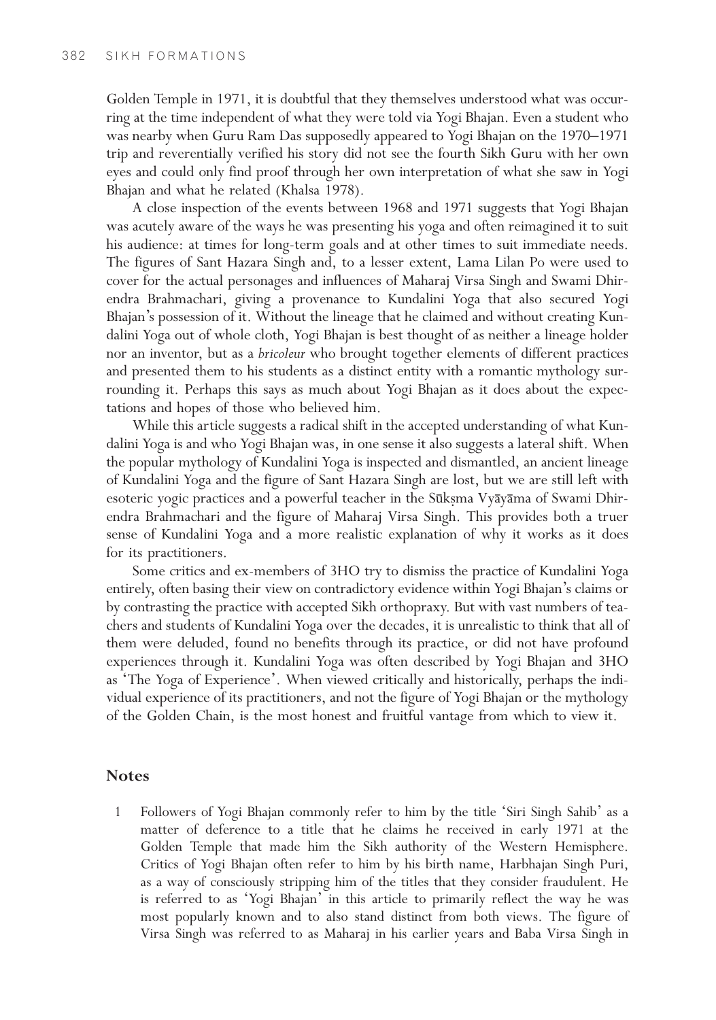Golden Temple in 1971, it is doubtful that they themselves understood what was occurring at the time independent of what they were told via Yogi Bhajan. Even a student who was nearby when Guru Ram Das supposedly appeared to Yogi Bhajan on the 1970–1971 trip and reverentially verified his story did not see the fourth Sikh Guru with her own eyes and could only find proof through her own interpretation of what she saw in Yogi Bhajan and what he related (Khalsa 1978).

A close inspection of the events between 1968 and 1971 suggests that Yogi Bhajan was acutely aware of the ways he was presenting his yoga and often reimagined it to suit his audience: at times for long-term goals and at other times to suit immediate needs. The figures of Sant Hazara Singh and, to a lesser extent, Lama Lilan Po were used to cover for the actual personages and influences of Maharaj Virsa Singh and Swami Dhirendra Brahmachari, giving a provenance to Kundalini Yoga that also secured Yogi Bhajan's possession of it. Without the lineage that he claimed and without creating Kundalini Yoga out of whole cloth, Yogi Bhajan is best thought of as neither a lineage holder nor an inventor, but as a bricoleur who brought together elements of different practices and presented them to his students as a distinct entity with a romantic mythology surrounding it. Perhaps this says as much about Yogi Bhajan as it does about the expectations and hopes of those who believed him.

While this article suggests a radical shift in the accepted understanding of what Kundalini Yoga is and who Yogi Bhajan was, in one sense it also suggests a lateral shift. When the popular mythology of Kundalini Yoga is inspected and dismantled, an ancient lineage of Kundalini Yoga and the figure of Sant Hazara Singh are lost, but we are still left with esoteric yogic practices and a powerful teacher in the Sūksma Vyayama of Swami Dhirendra Brahmachari and the figure of Maharaj Virsa Singh. This provides both a truer sense of Kundalini Yoga and a more realistic explanation of why it works as it does for its practitioners.

Some critics and ex-members of 3HO try to dismiss the practice of Kundalini Yoga entirely, often basing their view on contradictory evidence within Yogi Bhajan's claims or by contrasting the practice with accepted Sikh orthopraxy. But with vast numbers of teachers and students of Kundalini Yoga over the decades, it is unrealistic to think that all of them were deluded, found no benefits through its practice, or did not have profound experiences through it. Kundalini Yoga was often described by Yogi Bhajan and 3HO as 'The Yoga of Experience'. When viewed critically and historically, perhaps the individual experience of its practitioners, and not the figure of Yogi Bhajan or the mythology of the Golden Chain, is the most honest and fruitful vantage from which to view it.

#### Notes

1 Followers of Yogi Bhajan commonly refer to him by the title 'Siri Singh Sahib' as a matter of deference to a title that he claims he received in early 1971 at the Golden Temple that made him the Sikh authority of the Western Hemisphere. Critics of Yogi Bhajan often refer to him by his birth name, Harbhajan Singh Puri, as a way of consciously stripping him of the titles that they consider fraudulent. He is referred to as 'Yogi Bhajan' in this article to primarily reflect the way he was most popularly known and to also stand distinct from both views. The figure of Virsa Singh was referred to as Maharaj in his earlier years and Baba Virsa Singh in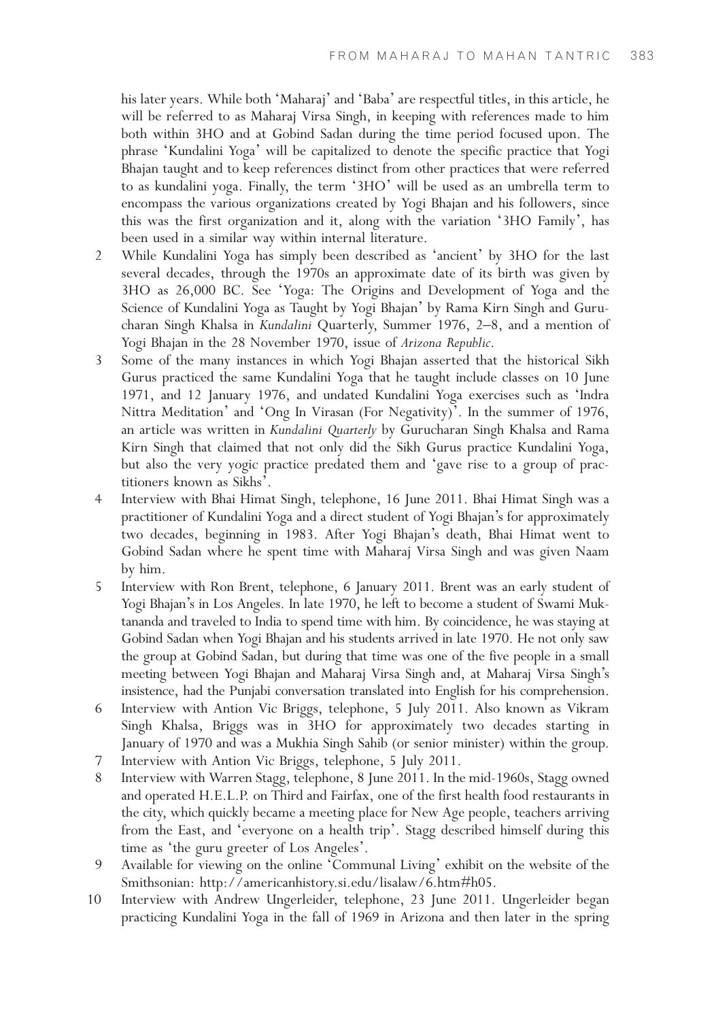his later years. While both 'Maharaj' and 'Baba' are respectful titles, in this article, he will be referred to as Maharaj Virsa Singh, in keeping with references made to him both within 3HO and at Gobind Sadan during the time period focused upon. The phrase 'Kundalini Yoga' will be capitalized to denote the specific practice that Yogi Bhajan taught and to keep references distinct from other practices that were referred to as kundalini yoga. Finally, the term '3HO' will be used as an umbrella term to encompass the various organizations created by Yogi Bhajan and his followers, since this was the first organization and it, along with the variation '3HO Family', has been used in a similar way within internal literature.

- 2 While Kundalini Yoga has simply been described as 'ancient' by 3HO for the last several decades, through the 1970s an approximate date of its birth was given by 3HO as 26,000 BC. See 'Yoga: The Origins and Development of Yoga and the Science of Kundalini Yoga as Taught by Yogi Bhajan' by Rama Kirn Singh and Gurucharan Singh Khalsa in Kundalini Quarterly, Summer 1976, 2–8, and a mention of Yogi Bhajan in the 28 November 1970, issue of Arizona Republic.
- 3 Some of the many instances in which Yogi Bhajan asserted that the historical Sikh Gurus practiced the same Kundalini Yoga that he taught include classes on 10 June 1971, and 12 January 1976, and undated Kundalini Yoga exercises such as 'Indra Nittra Meditation' and 'Ong In Virasan (For Negativity)'. In the summer of 1976, an article was written in Kundalini Quarterly by Gurucharan Singh Khalsa and Rama Kirn Singh that claimed that not only did the Sikh Gurus practice Kundalini Yoga, but also the very yogic practice predated them and 'gave rise to a group of practitioners known as Sikhs'.
- 4 Interview with Bhai Himat Singh, telephone, 16 June 2011. Bhai Himat Singh was a practitioner of Kundalini Yoga and a direct student of Yogi Bhajan's for approximately two decades, beginning in 1983. After Yogi Bhajan's death, Bhai Himat went to Gobind Sadan where he spent time with Maharaj Virsa Singh and was given Naam by him.
- 5 Interview with Ron Brent, telephone, 6 January 2011. Brent was an early student of Yogi Bhajan's in Los Angeles. In late 1970, he left to become a student of Swami Muktananda and traveled to India to spend time with him. By coincidence, he was staying at Gobind Sadan when Yogi Bhajan and his students arrived in late 1970. He not only saw the group at Gobind Sadan, but during that time was one of the five people in a small meeting between Yogi Bhajan and Maharaj Virsa Singh and, at Maharaj Virsa Singh's insistence, had the Punjabi conversation translated into English for his comprehension.
- 6 Interview with Antion Vic Briggs, telephone, 5 July 2011. Also known as Vikram Singh Khalsa, Briggs was in 3HO for approximately two decades starting in January of 1970 and was a Mukhia Singh Sahib (or senior minister) within the group.
- 7 Interview with Antion Vic Briggs, telephone, 5 July 2011.
- 8 Interview with Warren Stagg, telephone, 8 June 2011. In the mid-1960s, Stagg owned and operated H.E.L.P. on Third and Fairfax, one of the first health food restaurants in the city, which quickly became a meeting place for New Age people, teachers arriving from the East, and 'everyone on a health trip'. Stagg described himself during this time as 'the guru greeter of Los Angeles'.
- 9 Available for viewing on the online 'Communal Living' exhibit on the website of the Smithsonian:<http://americanhistory.si.edu/lisalaw/6.htm#h05>.
- 10 Interview with Andrew Ungerleider, telephone, 23 June 2011. Ungerleider began practicing Kundalini Yoga in the fall of 1969 in Arizona and then later in the spring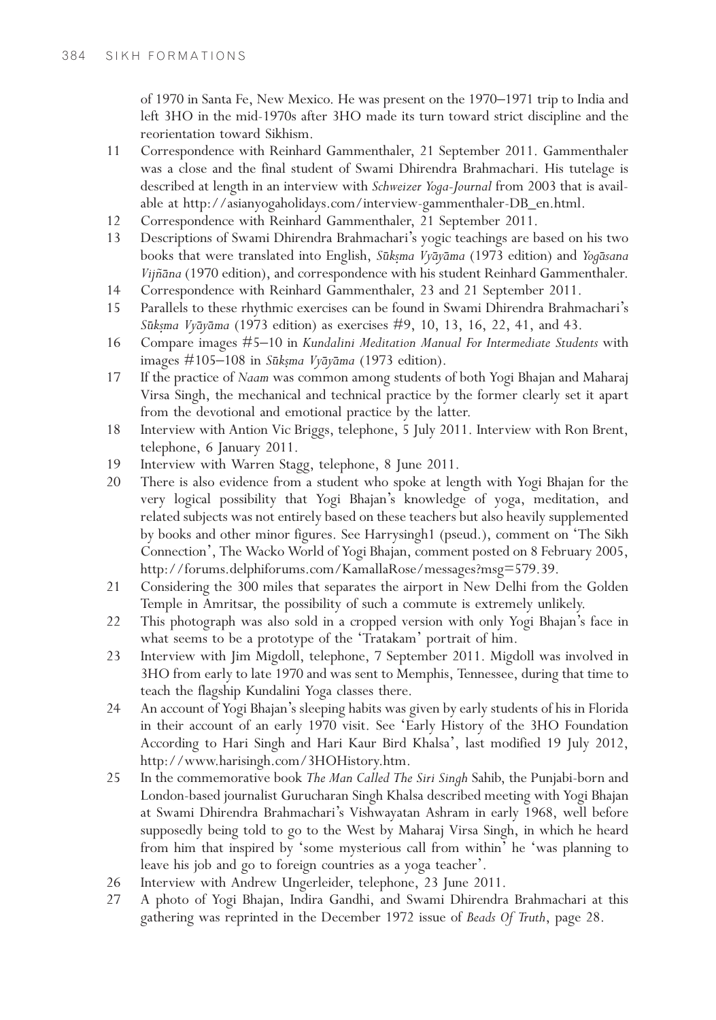of 1970 in Santa Fe, New Mexico. He was present on the 1970–1971 trip to India and left 3HO in the mid-1970s after 3HO made its turn toward strict discipline and the reorientation toward Sikhism.

- 11 Correspondence with Reinhard Gammenthaler, 21 September 2011. Gammenthaler was a close and the final student of Swami Dhirendra Brahmachari. His tutelage is described at length in an interview with Schweizer Yoga-Journal from 2003 that is available at [http://asianyogaholidays.com/interview-gammenthaler-DB\\_en.html.](http://asianyogaholidays.com/interview-gammenthaler-DB_en.html)
- 12 Correspondence with Reinhard Gammenthaler, 21 September 2011.
- 13 Descriptions of Swami Dhirendra Brahmachari's yogic teachings are based on his two books that were translated into English, Sūksma Vyāyāma (1973 edition) and Yogāsana Vijñana (1970 edition), and correspondence with his student Reinhard Gammenthaler.
- 14 Correspondence with Reinhard Gammenthaler, 23 and 21 September 2011.
- 15 Parallels to these rhythmic exercises can be found in Swami Dhirendra Brahmachari's Sūksma Vyāyāma (1973 edition) as exercises #9, 10, 13, 16, 22, 41, and 43.
- 16 Compare images #5–10 in Kundalini Meditation Manual For Intermediate Students with images #105–108 in Sūksma Vyāyāma (1973 edition).
- 17 If the practice of Naam was common among students of both Yogi Bhajan and Maharaj Virsa Singh, the mechanical and technical practice by the former clearly set it apart from the devotional and emotional practice by the latter.
- 18 Interview with Antion Vic Briggs, telephone, 5 July 2011. Interview with Ron Brent, telephone, 6 January 2011.
- 19 Interview with Warren Stagg, telephone, 8 June 2011.
- 20 There is also evidence from a student who spoke at length with Yogi Bhajan for the very logical possibility that Yogi Bhajan's knowledge of yoga, meditation, and related subjects was not entirely based on these teachers but also heavily supplemented by books and other minor figures. See Harrysingh1 (pseud.), comment on 'The Sikh Connection', The Wacko World of Yogi Bhajan, comment posted on 8 February 2005, [http://forums.delphiforums.com/KamallaRose/messages?msg=579.39.](http://forums.delphiforums.com/KamallaRose/messages?msg=579.39)
- 21 Considering the 300 miles that separates the airport in New Delhi from the Golden Temple in Amritsar, the possibility of such a commute is extremely unlikely.
- 22 This photograph was also sold in a cropped version with only Yogi Bhajan's face in what seems to be a prototype of the 'Tratakam' portrait of him.
- 23 Interview with Jim Migdoll, telephone, 7 September 2011. Migdoll was involved in 3HO from early to late 1970 and was sent to Memphis, Tennessee, during that time to teach the flagship Kundalini Yoga classes there.
- 24 An account of Yogi Bhajan's sleeping habits was given by early students of his in Florida in their account of an early 1970 visit. See 'Early History of the 3HO Foundation According to Hari Singh and Hari Kaur Bird Khalsa', last modified 19 July 2012, <http://www.harisingh.com/3HOHistory.htm>.
- 25 In the commemorative book *The Man Called The Siri Singh Sahib*, the Punjabi-born and London-based journalist Gurucharan Singh Khalsa described meeting with Yogi Bhajan at Swami Dhirendra Brahmachari's Vishwayatan Ashram in early 1968, well before supposedly being told to go to the West by Maharaj Virsa Singh, in which he heard from him that inspired by 'some mysterious call from within' he 'was planning to leave his job and go to foreign countries as a yoga teacher'.
- 26 Interview with Andrew Ungerleider, telephone, 23 June 2011.
- 27 A photo of Yogi Bhajan, Indira Gandhi, and Swami Dhirendra Brahmachari at this gathering was reprinted in the December 1972 issue of Beads Of Truth, page 28.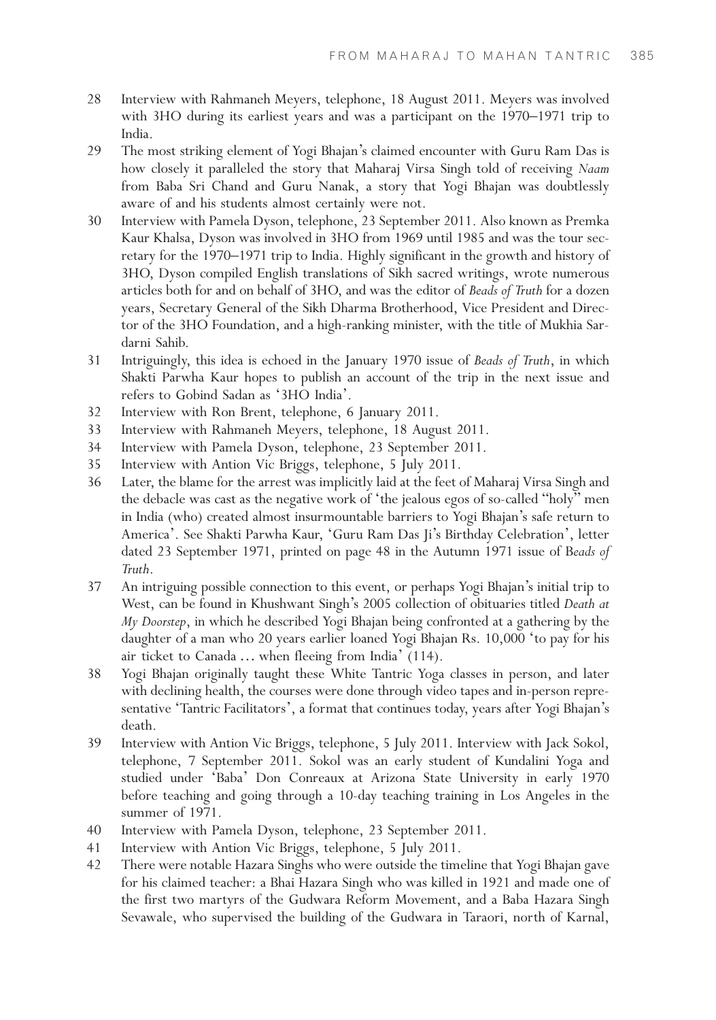- 28 Interview with Rahmaneh Meyers, telephone, 18 August 2011. Meyers was involved with 3HO during its earliest years and was a participant on the 1970–1971 trip to India.
- 29 The most striking element of Yogi Bhajan's claimed encounter with Guru Ram Das is how closely it paralleled the story that Maharaj Virsa Singh told of receiving Naam from Baba Sri Chand and Guru Nanak, a story that Yogi Bhajan was doubtlessly aware of and his students almost certainly were not.
- 30 Interview with Pamela Dyson, telephone, 23 September 2011. Also known as Premka Kaur Khalsa, Dyson was involved in 3HO from 1969 until 1985 and was the tour secretary for the 1970–1971 trip to India. Highly significant in the growth and history of 3HO, Dyson compiled English translations of Sikh sacred writings, wrote numerous articles both for and on behalf of 3HO, and was the editor of Beads of Truth for a dozen years, Secretary General of the Sikh Dharma Brotherhood, Vice President and Director of the 3HO Foundation, and a high-ranking minister, with the title of Mukhia Sardarni Sahib.
- 31 Intriguingly, this idea is echoed in the January 1970 issue of Beads of Truth, in which Shakti Parwha Kaur hopes to publish an account of the trip in the next issue and refers to Gobind Sadan as '3HO India'.
- 32 Interview with Ron Brent, telephone, 6 January 2011.
- 33 Interview with Rahmaneh Meyers, telephone, 18 August 2011.
- Interview with Pamela Dyson, telephone, 23 September 2011.
- 35 Interview with Antion Vic Briggs, telephone, 5 July 2011.
- Later, the blame for the arrest was implicitly laid at the feet of Maharaj Virsa Singh and the debacle was cast as the negative work of 'the jealous egos of so-called "holy" men in India (who) created almost insurmountable barriers to Yogi Bhajan's safe return to America'. See Shakti Parwha Kaur, 'Guru Ram Das Ji's Birthday Celebration', letter dated 23 September 1971, printed on page 48 in the Autumn 1971 issue of Beads of Truth.
- 37 An intriguing possible connection to this event, or perhaps Yogi Bhajan's initial trip to West, can be found in Khushwant Singh's 2005 collection of obituaries titled Death at My Doorstep, in which he described Yogi Bhajan being confronted at a gathering by the daughter of a man who 20 years earlier loaned Yogi Bhajan Rs. 10,000 'to pay for his air ticket to Canada … when fleeing from India' (114).
- 38 Yogi Bhajan originally taught these White Tantric Yoga classes in person, and later with declining health, the courses were done through video tapes and in-person representative 'Tantric Facilitators', a format that continues today, years after Yogi Bhajan's death.
- 39 Interview with Antion Vic Briggs, telephone, 5 July 2011. Interview with Jack Sokol, telephone, 7 September 2011. Sokol was an early student of Kundalini Yoga and studied under 'Baba' Don Conreaux at Arizona State University in early 1970 before teaching and going through a 10-day teaching training in Los Angeles in the summer of 1971.
- 40 Interview with Pamela Dyson, telephone, 23 September 2011.
- 41 Interview with Antion Vic Briggs, telephone, 5 July 2011.
- 42 There were notable Hazara Singhs who were outside the timeline that Yogi Bhajan gave for his claimed teacher: a Bhai Hazara Singh who was killed in 1921 and made one of the first two martyrs of the Gudwara Reform Movement, and a Baba Hazara Singh Sevawale, who supervised the building of the Gudwara in Taraori, north of Karnal,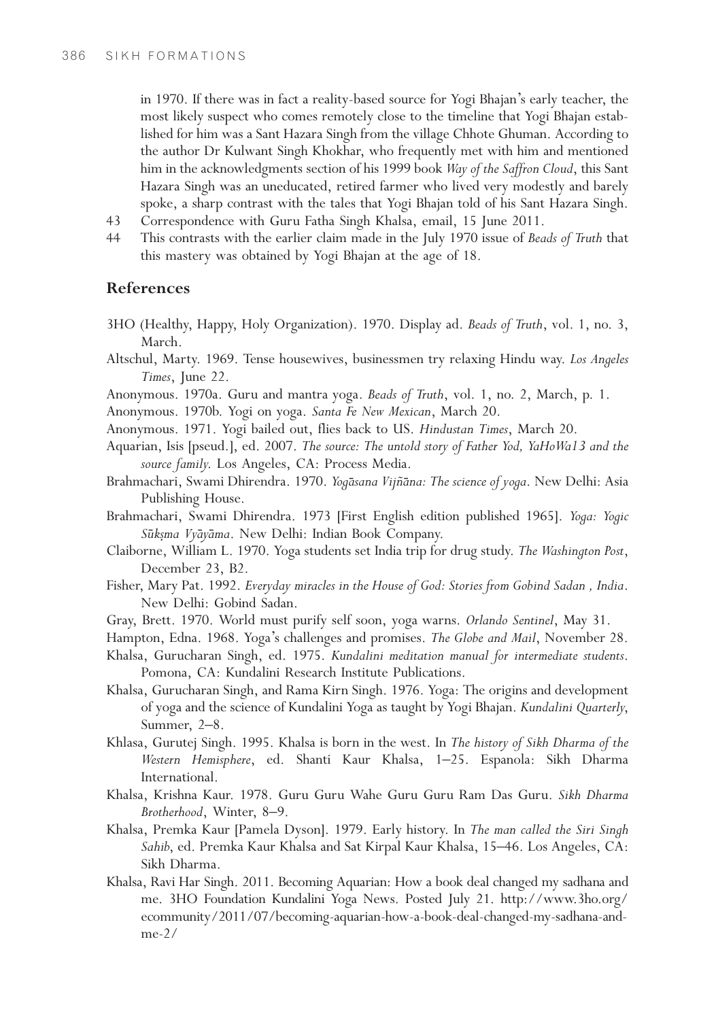in 1970. If there was in fact a reality-based source for Yogi Bhajan's early teacher, the most likely suspect who comes remotely close to the timeline that Yogi Bhajan established for him was a Sant Hazara Singh from the village Chhote Ghuman. According to the author Dr Kulwant Singh Khokhar, who frequently met with him and mentioned him in the acknowledgments section of his 1999 book Way of the Saffron Cloud, this Sant Hazara Singh was an uneducated, retired farmer who lived very modestly and barely spoke, a sharp contrast with the tales that Yogi Bhajan told of his Sant Hazara Singh.

- 43 Correspondence with Guru Fatha Singh Khalsa, email, 15 June 2011.
- 44 This contrasts with the earlier claim made in the July 1970 issue of Beads of Truth that this mastery was obtained by Yogi Bhajan at the age of 18.

#### References

- 3HO (Healthy, Happy, Holy Organization). 1970. Display ad. Beads of Truth, vol. 1, no. 3, March.
- Altschul, Marty. 1969. Tense housewives, businessmen try relaxing Hindu way. Los Angeles Times, June 22.
- Anonymous. 1970a. Guru and mantra yoga. Beads of Truth, vol. 1, no. 2, March, p. 1.
- Anonymous. 1970b. Yogi on yoga. Santa Fe New Mexican, March 20.
- Anonymous. 1971. Yogi bailed out, flies back to US. Hindustan Times, March 20.
- Aquarian, Isis [pseud.], ed. 2007. The source: The untold story of Father Yod, YaHoWa13 and the source family. Los Angeles, CA: Process Media.
- Brahmachari, Swami Dhirendra. 1970. *Yogāsana Vijñāna: The science of yoga*. New Delhi: Asia Publishing House.
- Brahmachari, Swami Dhirendra. 1973 [First English edition published 1965]. Yoga: Yogic Sūksma Vyāyāma. New Delhi: Indian Book Company.
- Claiborne, William L. 1970. Yoga students set India trip for drug study. The Washington Post, December 23, B2.
- Fisher, Mary Pat. 1992. Everyday miracles in the House of God: Stories from Gobind Sadan , India. New Delhi: Gobind Sadan.
- Gray, Brett. 1970. World must purify self soon, yoga warns. Orlando Sentinel, May 31.

Hampton, Edna. 1968. Yoga's challenges and promises. The Globe and Mail, November 28.

- Khalsa, Gurucharan Singh, ed. 1975. Kundalini meditation manual for intermediate students. Pomona, CA: Kundalini Research Institute Publications.
- Khalsa, Gurucharan Singh, and Rama Kirn Singh. 1976. Yoga: The origins and development of yoga and the science of Kundalini Yoga as taught by Yogi Bhajan. Kundalini Quarterly, Summer, 2–8.
- Khlasa, Gurutej Singh. 1995. Khalsa is born in the west. In The history of Sikh Dharma of the Western Hemisphere, ed. Shanti Kaur Khalsa, 1–25. Espanola: Sikh Dharma International.
- Khalsa, Krishna Kaur. 1978. Guru Guru Wahe Guru Guru Ram Das Guru. Sikh Dharma Brotherhood, Winter, 8–9.
- Khalsa, Premka Kaur [Pamela Dyson]. 1979. Early history. In The man called the Siri Singh Sahib, ed. Premka Kaur Khalsa and Sat Kirpal Kaur Khalsa, 15–46. Los Angeles, CA: Sikh Dharma.
- Khalsa, Ravi Har Singh. 2011. Becoming Aquarian: How a book deal changed my sadhana and me. 3HO Foundation Kundalini Yoga News. Posted July 21. [http://www.3ho.org/](http://www.3ho.org/ecommunity/2011/07/becoming-aquarian-how-a-book-deal-changed-my-sadhana-and-me-2/) [ecommunity/2011/07/becoming-aquarian-how-a-book-deal-changed-my-sadhana-and](http://www.3ho.org/ecommunity/2011/07/becoming-aquarian-how-a-book-deal-changed-my-sadhana-and-me-2/)[me-2/](http://www.3ho.org/ecommunity/2011/07/becoming-aquarian-how-a-book-deal-changed-my-sadhana-and-me-2/)